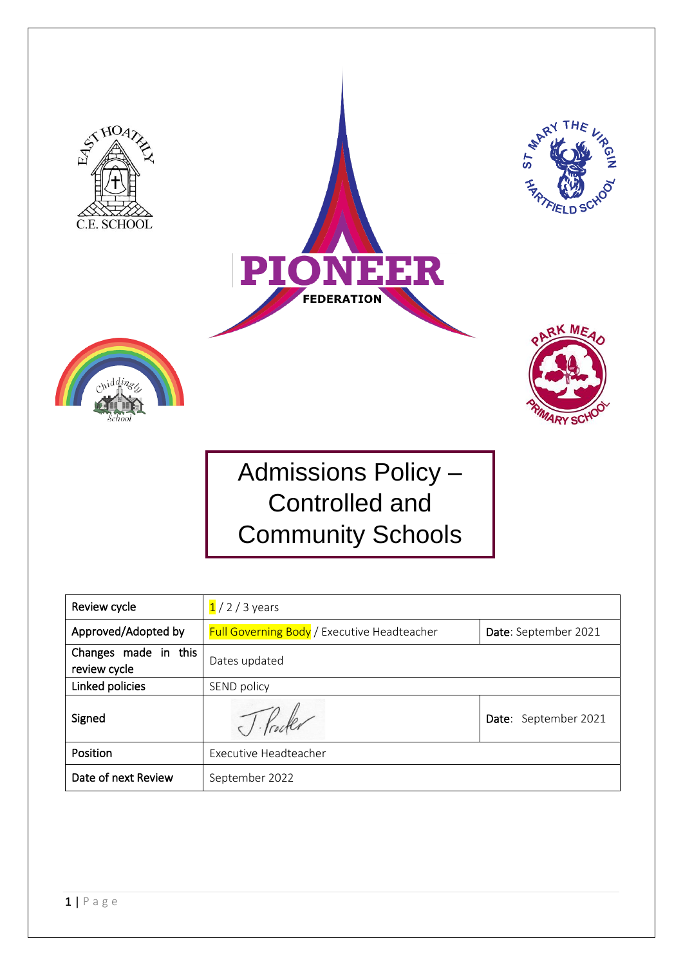

| Review cycle                         | $1/2/3$ years                                      |                      |  |
|--------------------------------------|----------------------------------------------------|----------------------|--|
| Approved/Adopted by                  | <b>Full Governing Body</b> / Executive Headteacher | Date: September 2021 |  |
| Changes made in this<br>review cycle | Dates updated                                      |                      |  |
| Linked policies                      | SEND policy                                        |                      |  |
| Signed                               |                                                    | Date: September 2021 |  |
| Position                             | Executive Headteacher                              |                      |  |
| Date of next Review                  | September 2022                                     |                      |  |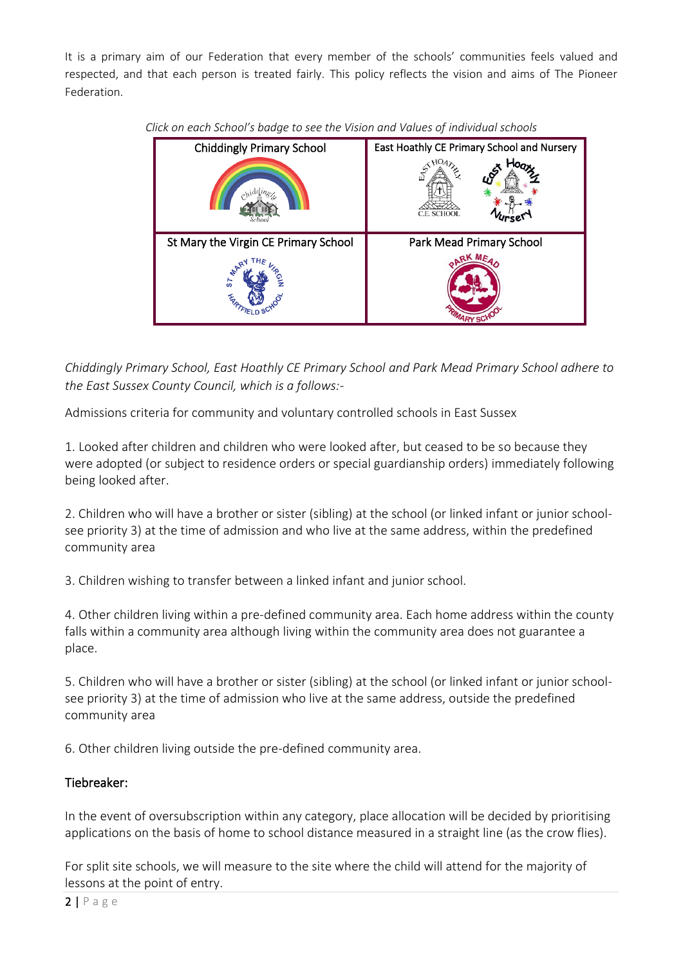It is a primary aim of our Federation that every member of the schools' communities feels valued and respected, and that each person is treated fairly. This policy reflects the vision and aims of The Pioneer Federation.

| <b>Chiddingly Primary School</b>     | East Hoathly CE Primary School and Nursery |  |
|--------------------------------------|--------------------------------------------|--|
|                                      | fr.<br>C.E. SCHOOL                         |  |
| St Mary the Virgin CE Primary School | Park Mead Primary School                   |  |
| $\overline{s}$                       | aK Mr                                      |  |

*Click on each School's badge to see the Vision and Values of individual schools*

*Chiddingly Primary School, East Hoathly CE Primary School and Park Mead Primary School adhere to the East Sussex County Council, which is a follows:-*

Admissions criteria for community and voluntary controlled schools in East Sussex

1. Looked after children and children who were looked after, but ceased to be so because they were adopted (or subject to residence orders or special guardianship orders) immediately following being looked after.

2. Children who will have a brother or sister (sibling) at the school (or linked infant or junior schoolsee priority 3) at the time of admission and who live at the same address, within the predefined community area

3. Children wishing to transfer between a linked infant and junior school.

4. Other children living within a pre-defined community area. Each home address within the county falls within a community area although living within the community area does not guarantee a place.

5. Children who will have a brother or sister (sibling) at the school (or linked infant or junior schoolsee priority 3) at the time of admission who live at the same address, outside the predefined community area

6. Other children living outside the pre-defined community area.

## Tiebreaker:

In the event of oversubscription within any category, place allocation will be decided by prioritising applications on the basis of home to school distance measured in a straight line (as the crow flies).

For split site schools, we will measure to the site where the child will attend for the majority of lessons at the point of entry.